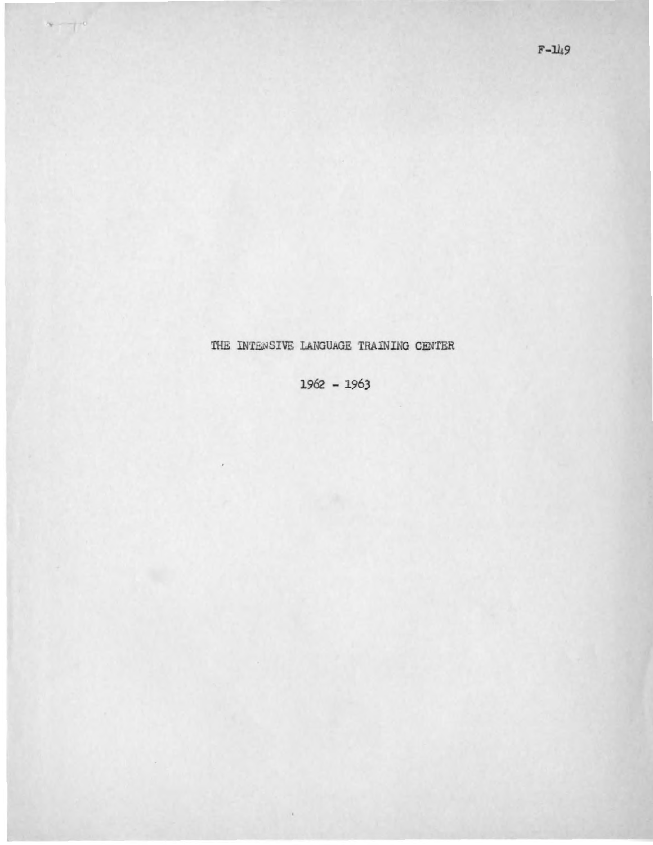## THE INTENSIVE LANGUAGE TRAINING CENTER

 $\sim -10$ 

1962 - 1963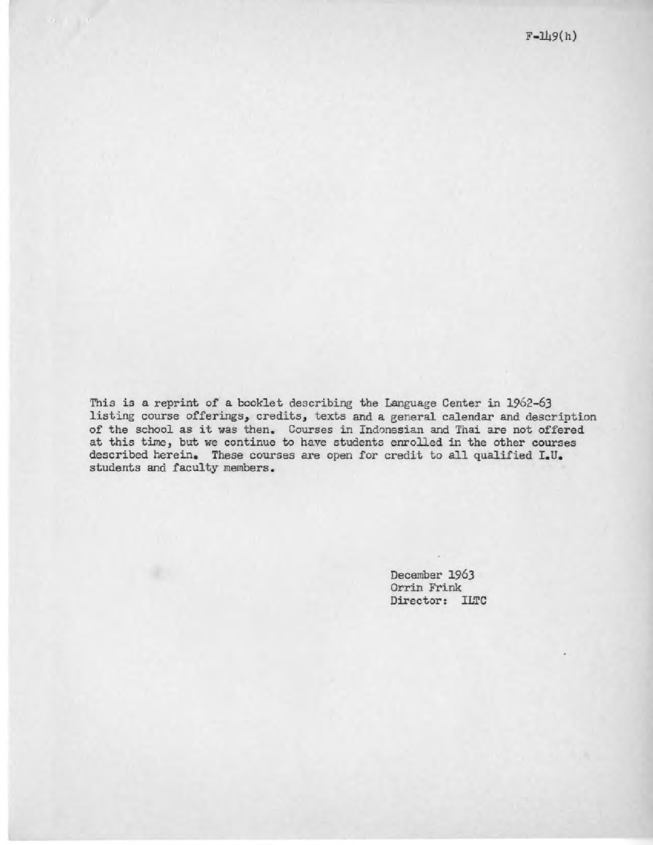This is a reprint of a booklet describing the Language Center in 1962-63 This is a reprint of a booklet describing the Language Center in 1962-63<br>listing course offerings, credits, texts and a general calendar and description of the school as it was then. Courses in Indonesian and Thai are not offered of the school as it was then. Courses in Indonesian and Thai are not offered at this time, but we continue to have students enrolled in the other courses described herein. These courses are open for credit to all qualified I.U. students and faculty members. described herein. These courses are open for credit to all students and faculty members.<br> $\hfill$ 

December 1963 Orrin Frink Orrin Frink Director: ILTC Director: ILTC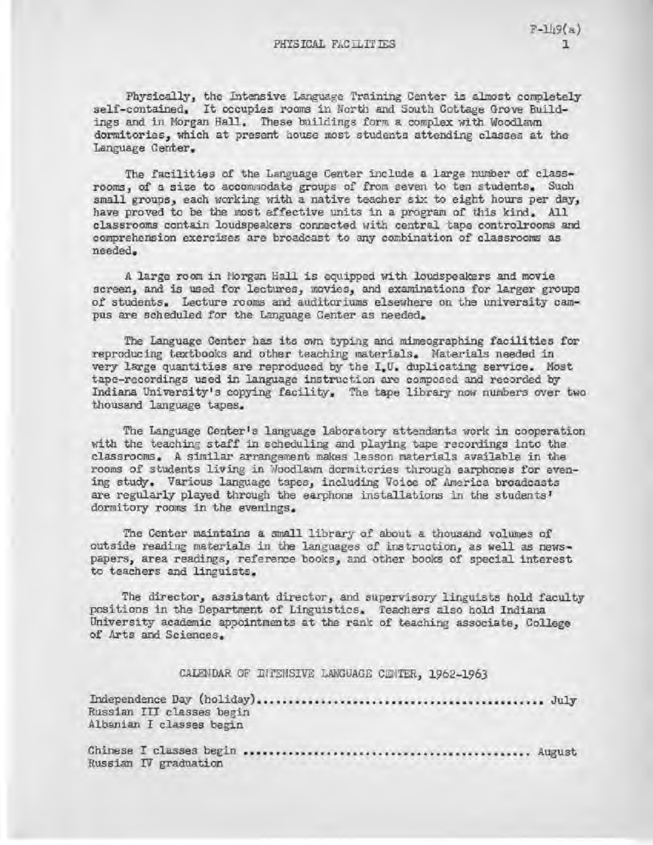Physically, the Intensive Language Training Center is almost completely self-contained. It occupies rooms in North and South Cottage Grove Buildings and in Morgan Hall. These buildings form a complex with Woodlawn *ings and in Morgan Hall. These buildings form a complex with Woodlawn*  dormitories, which at present eouse most students attending *classes* at the *dormitories, which at present eouse most students attending classes at the*  Language Center. *Language Center.* 

The facilities of the Language Center include a large number of *class-The facilities of the Language Center include a large number of of a size to accomaodate groups of from seven to ten students. Such rooms,* of a size to accomaodate groups of from seven to ten students. Such small groups, each working with a native teacher six to eight hours per day, *small groups, each working with a native teacher six to eight hours per day,*  have proved to be the most effective units in a program of this kind. All *have proved to be the most effective* units in a *program of this kind. All*  classrooms contain loudspeakers corrected with central tape controlrooms and *classrooms contain loudspeakers corrected with central tape controlrooms and*  comprehension exercises are broadcast to any combination of classrooms as *comprehension exercises are* broadcast to any combination of classrooms as needed. A large room in Horgan gall is equipped with loudspeakers and movie *needed. A large room in Horgan gall is equipped with loudspeakers and movie* 

screen, and is used for lectures, movies, and examinations for larger groups *screen, and is used for lectures, movies, and* examinations for larger groups of students. Lecture rooms and auditoriums elsewhere on the university campus are scheduled for the Language Center as needed. pus are scheduled for the Language Center as needed.

The Language Center has its awn typing and mimeographing facilities for The Language Center has its awn typing and mimeographing facilities for reproducing textbooks and other teaching materials. Naterials needed in reproducing textbooks and other teaching materials. Naterials needed in very large quantities are reproduced by the I.U. duplicating service. Most very large quantities are reproduced by the I.U. duplicating service. Most tape-recordings used in language instruction are composed and recorded by tape-recordings used in language instruction are composed and recorded by Indiana University's copying facility. The tape library now numbers over two Indiana University's copying facility. The tape library now numbers over two thousand language tapes. thousand language tapes.

The Language Center's language laboratory attendants work in cooperation The Language Center's language laboratory attendants work in cooperation with the teaching staff in scheduling and playing tape recordings into the classrooms. A similar arrangement makes lesson materials avalileble in the classrooms. A similar arrangement makes lesson materials avalileble in the rooms of students living in Woodlawn dormitories through earphones for even-rooms of students living in Woodlawn dormitories through earphones for evening study. Various language tapesj including Voice of America broadcasts ing study. Various language tapes j including Voice of America broadcasts are regularly played through the earphone installations in the students' are regularly played through the earphone installations in the students' dormitory rooms in the evenings. dormitory rooms in the evenings.

The Center maintains a small library of about a thousand volumes of The Center maintains a small library of about a thousand volumes of outside reading materials in the languages of instruction, as well as news-outside reading materials in the languages of instruction, as well as newspapers, area readiags, reference books, and other books of special interest *papers, area readiags, reference books, and other books of special interest*  to teachers and linguists. *to teachers and linguists.* 

The director, assistant director, and supervisory linguists hold faculty *The director, assistant director, and supervisory linguists hold faculty*  positions in the Department of Linguistics. Teachers also hold Indiana *positions in the Department of Linguistics. Teachers also hold Indiana*  University academic appointments at the rank of teaching associate, College *University academic appointments at the rank of teaching associate, College*  of Arts and Sciences. *of Arts and Sciences.* 

CALENDAR OF INTENSIVE LANGUAGE CENTER, 1962-1963

Independence Day (holiday) July Russian III classes begin Albanian I *classes* begin Chinese I classes begin August *Albanian I classes begin Chinese I classes begin August CALENDAR OF INTENSIVE LANGUAGE CENTa a1962-1963 Independence Day (holiday) July Russian III classes begin* 

Russian IV graduation *Russian IV graduation*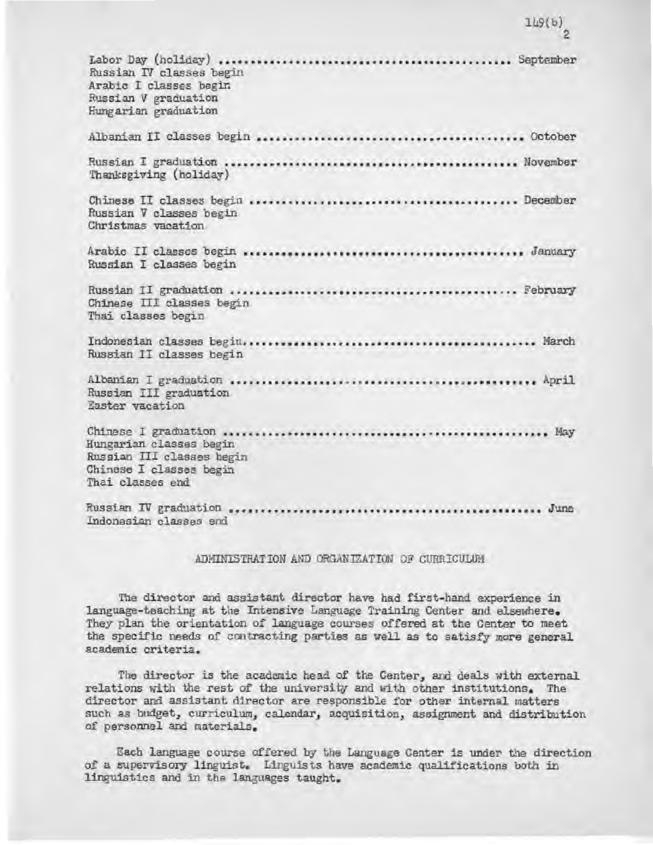| Russian IV classes begin<br>Arabic I classes begin<br>Russian V graduation<br>Hungarian graduation  |
|-----------------------------------------------------------------------------------------------------|
|                                                                                                     |
| Thanksgiving (holiday)                                                                              |
| Russian V classes begin<br>Christmas vacation                                                       |
| Russian I classes begin                                                                             |
| Chinese III classes begin<br>Thai classes begin                                                     |
| Russian II classes begin                                                                            |
| Russian III graduation<br>Easter vacation                                                           |
| Hungarian classes begin<br>Russian III classes begin<br>Chinese I classes begin<br>Thai classes end |
| Indonesian classes end                                                                              |

## ADMINISTRATION AND ORGANIZATION OF CURRICULUM

The director and assistant director have had first-hand experience in The director and assistant director have had first-hand experience in language-teaching at the Intensive Language Training Center and elsewhere. They plan the orientation of language courses offered at the Center to meet They plan the orientation of language courses offered at the Center to meet<br>the specific needs of contracting parties as well as to satisfy more general academic criteria. academic criteria.

The director is the academic head of the Center, and deals with external The director is the academic head of the Center, and deals with external relations with the rest of the university and with other institutions. The director and assistant director are responsible for other internal matters director and assistant director are responsible for other internal matters such as budget, curriculum, calendar, acquisition, assignment and distribution such as budget, curriculum, calendar, acquisition, assignment and distribution of personnel and materials. of personnel and materials.

Lech language course offered by the Language Center is under the direction Each language course offered by the Language Center is under the direction of a supervisory linguist. Linguists have academic qualifications both in linguistics and in the languages taught. linguistics and in the languages taught.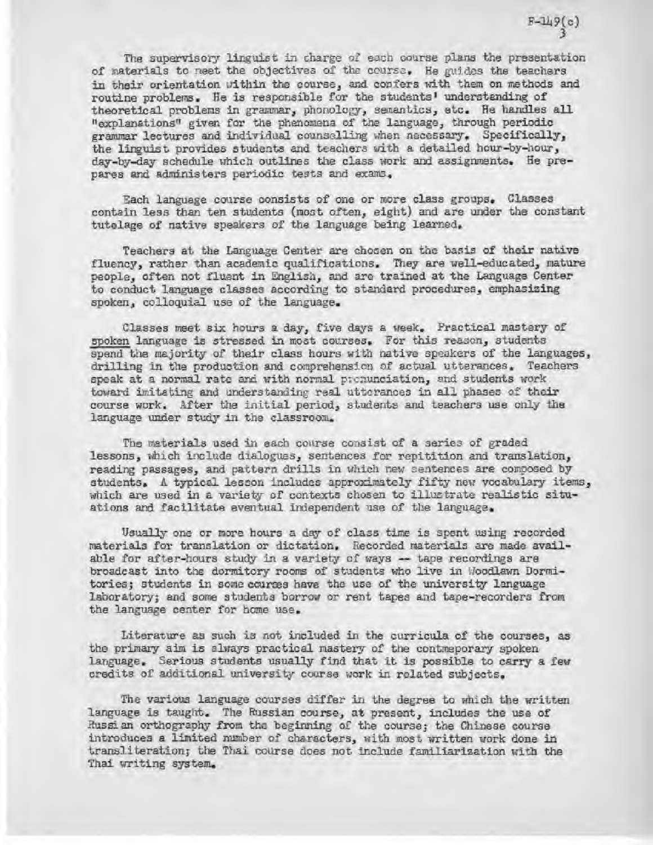The supervisory linguist in charge of each course plans the presentation of materials to rest the objectives of the ocurse. He guides the teachers *of materials to rest the objectives of the ocurse. He guides the teachers*  in their orientation within the course, and confers with them on methods and *in their orientation within the course, and confers with them on methods and*  routine problems. He is responsible for the students' understanding of *routine problems. He is responsible for the students' understanding of*  theoretical problems in grammar, Phonology, semantics, etc. He handles all *theoretical problems in grammar,* Phonology, *semantics, etc. He handles all*  "explanations^ given for the phenomena of the language, through periodic *"explanations^ given for* the phenomena *of the language, through periodic*  grammar lectures and individual counselling when necessary. Specifically, *grammar lectures and individual counselling when necessary. Specifically,*  the liruist provides students and teachers with a detailed hour-by-hour, *the liruist provides students and teachers with a detailed hour-by-hour,*  day-by-day schedule which outlines the class work and assignments. He pre-*day-by-day schedule which outlines the class work and assignments. He pre*pares and administers periodic tests and exams. *pares and administers periodic tests and exams.* 

Each language course consists of one or more class groups. Classes *Each language course consists of one or more class groups. Classes*  contain less than ten students (moot often, eight) and are under the constant *contain less than ten students (moot often, eight) and are under the* constant tutelage of native speakers of the language being learned. *tutelage of native speakers of the language being learned.* 

Teachers at the Language Center are chosen on the basis of their native *Teachers at the Language Center are chosen on the basis of their native*  fluency, rather than academic qualifications. They are well-educated, mature *fluency, rather than academic qualifications. They are well-educated, mature*  people, often not fluent in English, and are trained at the Language Center *people, often not fluent in English, and are trained at the Language Center*  to conduct language classes according to standard procedures, emphasizing *to conduct language classes according to standard procedures, emphasizing*  spoken, colloqpial use of the language. *spoken, colloqpial use of the language.* 

Classes meet six hours a day, five days a week. Practical mastery of *Classes meet six hours a day, five days a week. Practical mastery of*  spoken language is stressed in most courses. For this reason, students *spoken language is stressed in most courses. For this reason, students*  spend the majority of their class hours with native speakers of the languages, *spend the majority of their class hours with native speakers of the languages,*  drilling in the production and comprehension of actual utterances. Teachers *drilling in the production and comprehension of actual utterances. Teachers*  speak at a normal rate and with normal pronunciation, and students work toward imitating and understanding real utterances in all phases of their *toward imitating and understanding real utterances* in all phases of *their*  course work. After the initial period, students and teachers use only the *course work. After the initial period, students and teachers use only the*  language under study in the classroom. *language under study in the classroom.* 

The materials used in each course consist of a series of graded lessons, which include dialogues, sentences for repitition and translation, *lessons, which include dialogues, sentences for* repitition and translation, reading passages, and pattern drills in which new sentences are composed by reading passages, and pattern drills in which new sentences are composed by students. A typical lesson includes approximately fifty new vocabulary items, which are used in a variety of contexts chosen to illustrate realistic situations and facilitate eventual independent use of the language. *ations and facilitate eventual independent use of the language.* 

Usually one or more hours a day of class time is spent using recorded Usually one or more hours a day of class time is spent using recorded materials for translation or dictation. Recorded materials are made avail-*materials for translation or dictation. Recorded materials are made avail*able for after-hours study in a variety of *ways --* tape recordings are *able for after-hours study in a variety of tape recordings are*  broadcast into the dormitory rooms of students who live in /deodlawn Dormi-*broadcast into the dormitory rooms of students who live in /deodlawn Dormi*tories; students in some *ccums* have the use of the university language tories; students in some courses have the use of the university language laboratory; and some students borrow or rent tapes and tape-recorders from the language center for home use. *the language center* for home use.

Literature as such is not included in the curricula of the courses, as *Literature as such is not included in the curricula of the courses, as*  the primary aim is always practical mastery of the contmeporary spoken the primary aim is always practical mastery of the contmeporary spoken language. Serious students usually find that it is possible to carry a few credits of additional university course work in related subjects. *credits of additional university course work in related subjects.* 

The various language courses differ in the degree to which the written *The various language courses differ in* the degree to which the *written* language is taught. The Russian course, at present, includes the *use* of language is taught. The Russian course, *at present, includes the of*  Russian orthography from the beginning of the course; the Chinese course *Russian orthography from the beginning of the course;* the *Chinese course*  introduces a limited number of characters, with most written work done in *introduces a limited number of characters, with most written work done in*  transliteration; the Thai course does not include familiarization with the transliteration; the Thai course does not include familiarization with the Thai writing sys tem. Thai writing sys tem.